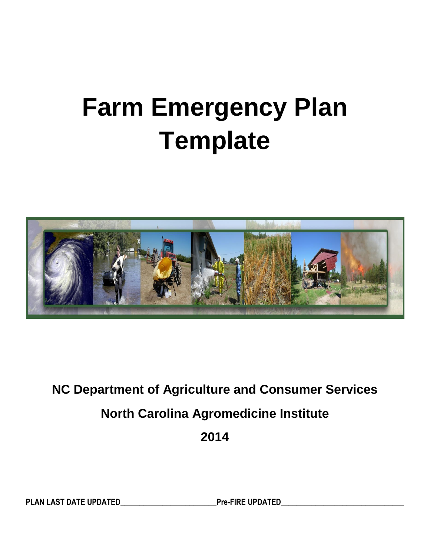# **Farm Emergency Plan Template**



## **NC Department of Agriculture and Consumer Services North Carolina Agromedicine Institute**

**2014**

PLAN LAST DATE UPDATED Pre-FIRE UPDATED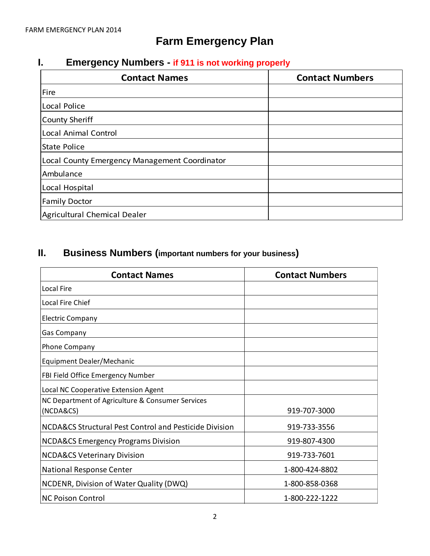## **Farm Emergency Plan**

## **I. Emergency Numbers - if 911 is not working properly**

| <b>Contact Names</b>                          | <b>Contact Numbers</b> |
|-----------------------------------------------|------------------------|
| Fire                                          |                        |
| Local Police                                  |                        |
| <b>County Sheriff</b>                         |                        |
| Local Animal Control                          |                        |
| State Police                                  |                        |
| Local County Emergency Management Coordinator |                        |
| Ambulance                                     |                        |
| Local Hospital                                |                        |
| <b>Family Doctor</b>                          |                        |
| Agricultural Chemical Dealer                  |                        |

## **II. Business Numbers (important numbers for your business)**

| <b>Contact Names</b>                                   | <b>Contact Numbers</b> |  |
|--------------------------------------------------------|------------------------|--|
| Local Fire                                             |                        |  |
| <b>Local Fire Chief</b>                                |                        |  |
| <b>Electric Company</b>                                |                        |  |
| <b>Gas Company</b>                                     |                        |  |
| <b>Phone Company</b>                                   |                        |  |
| Equipment Dealer/Mechanic                              |                        |  |
| FBI Field Office Emergency Number                      |                        |  |
| Local NC Cooperative Extension Agent                   |                        |  |
| NC Department of Agriculture & Consumer Services       |                        |  |
| (NCDA&CS)                                              | 919-707-3000           |  |
| NCDA&CS Structural Pest Control and Pesticide Division | 919-733-3556           |  |
| <b>NCDA&amp;CS Emergency Programs Division</b>         | 919-807-4300           |  |
| <b>NCDA&amp;CS Veterinary Division</b>                 | 919-733-7601           |  |
| National Response Center                               | 1-800-424-8802         |  |
| NCDENR, Division of Water Quality (DWQ)                | 1-800-858-0368         |  |
| <b>NC Poison Control</b>                               | 1-800-222-1222         |  |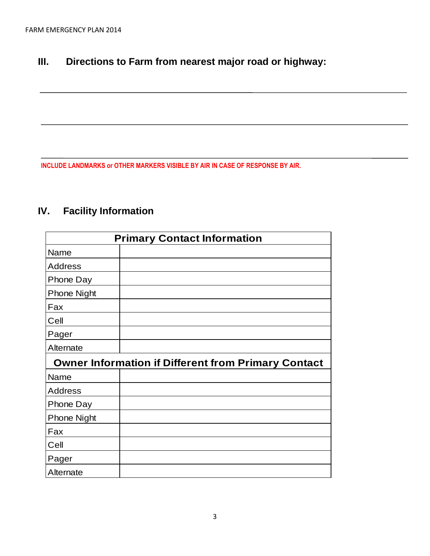## **III. Directions to Farm from nearest major road or highway:**

**INCLUDE LANDMARKS or OTHER MARKERS VISIBLE BY AIR IN CASE OF RESPONSE BY AIR.**

## **IV. Facility Information**

| <b>Primary Contact Information</b>                         |  |  |  |  |
|------------------------------------------------------------|--|--|--|--|
| Name                                                       |  |  |  |  |
| <b>Address</b>                                             |  |  |  |  |
| <b>Phone Day</b>                                           |  |  |  |  |
| <b>Phone Night</b>                                         |  |  |  |  |
| Fax                                                        |  |  |  |  |
| Cell                                                       |  |  |  |  |
| Pager                                                      |  |  |  |  |
| Alternate                                                  |  |  |  |  |
| <b>Owner Information if Different from Primary Contact</b> |  |  |  |  |
| Name                                                       |  |  |  |  |
| <b>Address</b>                                             |  |  |  |  |
| Phone Day                                                  |  |  |  |  |
| <b>Phone Night</b>                                         |  |  |  |  |
| Fax                                                        |  |  |  |  |
| Cell                                                       |  |  |  |  |
| Pager                                                      |  |  |  |  |
| Alternate                                                  |  |  |  |  |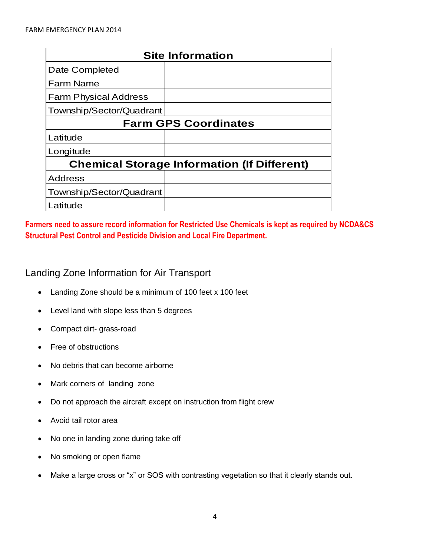| <b>Site Information</b>                            |  |  |  |
|----------------------------------------------------|--|--|--|
| Date Completed                                     |  |  |  |
| lFarm Name                                         |  |  |  |
| <b>Farm Physical Address</b>                       |  |  |  |
| Township/Sector/Quadrant                           |  |  |  |
| <b>Farm GPS Coordinates</b>                        |  |  |  |
| Latitude                                           |  |  |  |
| Longitude                                          |  |  |  |
| <b>Chemical Storage Information (If Different)</b> |  |  |  |
| <b>Address</b>                                     |  |  |  |
| Township/Sector/Quadrant                           |  |  |  |
| Latitude                                           |  |  |  |

**Farmers need to assure record information for Restricted Use Chemicals is kept as required by NCDA&CS Structural Pest Control and Pesticide Division and Local Fire Department.**

#### Landing Zone Information for Air Transport

- Landing Zone should be a minimum of 100 feet x 100 feet
- Level land with slope less than 5 degrees
- Compact dirt- grass-road
- Free of obstructions
- No debris that can become airborne
- Mark corners of landing zone
- Do not approach the aircraft except on instruction from flight crew
- Avoid tail rotor area
- No one in landing zone during take off
- No smoking or open flame
- Make a large cross or "x" or SOS with contrasting vegetation so that it clearly stands out.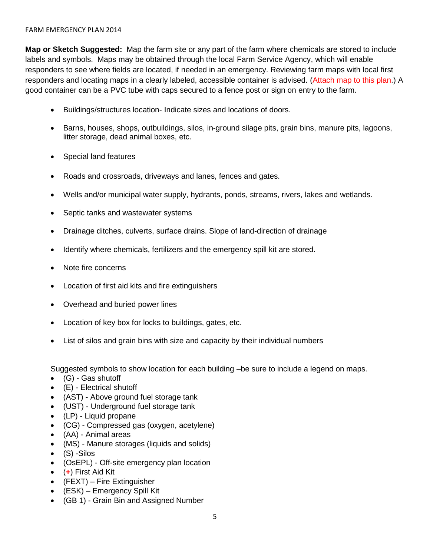#### FARM EMERGENCY PLAN 2014

**Map or Sketch Suggested:** Map the farm site or any part of the farm where chemicals are stored to include labels and symbols. Maps may be obtained through the local Farm Service Agency, which will enable responders to see where fields are located, if needed in an emergency. Reviewing farm maps with local first responders and locating maps in a clearly labeled, accessible container is advised. (Attach map to this plan.) A good container can be a PVC tube with caps secured to a fence post or sign on entry to the farm.

- Buildings/structures location- Indicate sizes and locations of doors.
- Barns, houses, shops, outbuildings, silos, in-ground silage pits, grain bins, manure pits, lagoons, litter storage, dead animal boxes, etc.
- Special land features
- Roads and crossroads, driveways and lanes, fences and gates.
- Wells and/or municipal water supply, hydrants, ponds, streams, rivers, lakes and wetlands.
- Septic tanks and wastewater systems
- Drainage ditches, culverts, surface drains. Slope of land-direction of drainage
- Identify where chemicals, fertilizers and the emergency spill kit are stored.
- Note fire concerns
- Location of first aid kits and fire extinguishers
- Overhead and buried power lines
- Location of key box for locks to buildings, gates, etc.
- List of silos and grain bins with size and capacity by their individual numbers

Suggested symbols to show location for each building –be sure to include a legend on maps.

- (G) Gas shutoff
- (E) Electrical shutoff
- (AST) Above ground fuel storage tank
- (UST) Underground fuel storage tank
- (LP) Liquid propane
- (CG) Compressed gas (oxygen, acetylene)
- (AA) Animal areas
- (MS) Manure storages (liquids and solids)
- $\bullet$  (S) -Silos
- (OsEPL) Off-site emergency plan location
- (**+**) First Aid Kit
- (FEXT) Fire Extinguisher
- (ESK) Emergency Spill Kit
- (GB 1) Grain Bin and Assigned Number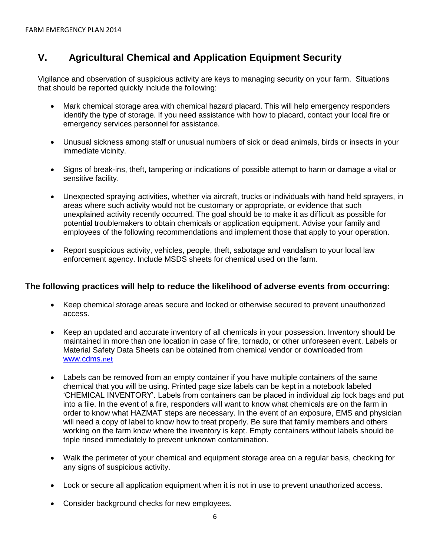## **V. Agricultural Chemical and Application Equipment Security**

Vigilance and observation of suspicious activity are keys to managing security on your farm. Situations that should be reported quickly include the following:

- Mark chemical storage area with chemical hazard placard. This will help emergency responders identify the type of storage. If you need assistance with how to placard, contact your local fire or emergency services personnel for assistance.
- Unusual sickness among staff or unusual numbers of sick or dead animals, birds or insects in your immediate vicinity.
- Signs of break-ins, theft, tampering or indications of possible attempt to harm or damage a vital or sensitive facility.
- Unexpected spraying activities, whether via aircraft, trucks or individuals with hand held sprayers, in areas where such activity would not be customary or appropriate, or evidence that such unexplained activity recently occurred. The goal should be to make it as difficult as possible for potential troublemakers to obtain chemicals or application equipment. Advise your family and employees of the following recommendations and implement those that apply to your operation.
- Report suspicious activity, vehicles, people, theft, sabotage and vandalism to your local law enforcement agency. Include MSDS sheets for chemical used on the farm.

#### **The following practices will help to reduce the likelihood of adverse events from occurring:**

- Keep chemical storage areas secure and locked or otherwise secured to prevent unauthorized access.
- Keep an updated and accurate inventory of all chemicals in your possession. Inventory should be maintained in more than one location in case of fire, tornado, or other unforeseen event. Labels or Material Safety Data Sheets can be obtained from chemical vendor or downloaded from [www.cdms.](http://www.cdms.net/)net
- Labels can be removed from an empty container if you have multiple containers of the same chemical that you will be using. Printed page size labels can be kept in a notebook labeled 'CHEMICAL INVENTORY'. Labels from containers can be placed in individual zip lock bags and put into a file. In the event of a fire, responders will want to know what chemicals are on the farm in order to know what HAZMAT steps are necessary. In the event of an exposure, EMS and physician will need a copy of label to know how to treat properly. Be sure that family members and others working on the farm know where the inventory is kept. Empty containers without labels should be triple rinsed immediately to prevent unknown contamination.
- Walk the perimeter of your chemical and equipment storage area on a regular basis, checking for any signs of suspicious activity.
- Lock or secure all application equipment when it is not in use to prevent unauthorized access.
- Consider background checks for new employees.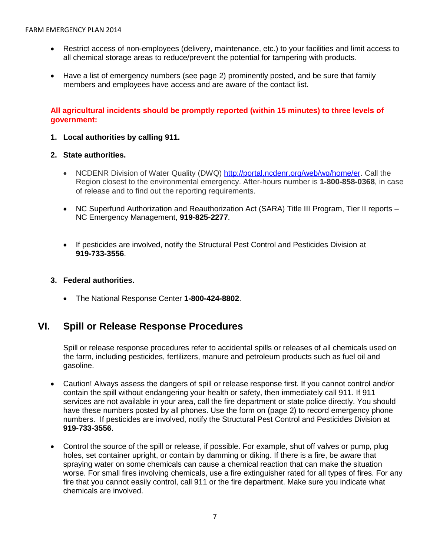- Restrict access of non-employees (delivery, maintenance, etc.) to your facilities and limit access to all chemical storage areas to reduce/prevent the potential for tampering with products.
- Have a list of emergency numbers (see page 2) prominently posted, and be sure that family members and employees have access and are aware of the contact list.

#### **All agricultural incidents should be promptly reported (within 15 minutes) to three levels of government:**

**1. Local authorities by calling 911.**

#### **2. State authorities.**

- NCDENR Division of Water Quality (DWQ) [http://portal.ncdenr.org/web/wq/home/er.](http://portal.ncdenr.org/web/wq/home/er) Call the Region closest to the environmental emergency. After-hours number is **1-800-858-0368**, in case of release and to find out the reporting requirements.
- NC Superfund Authorization and Reauthorization Act (SARA) Title III Program, Tier II reports -NC Emergency Management, **919-825-2277**.
- If pesticides are involved, notify the Structural Pest Control and Pesticides Division at **919-733-3556**.
- **3. Federal authorities.**
	- The National Response Center **1-800-424-8802**.

#### **VI. Spill or Release Response Procedures**

Spill or release response procedures refer to accidental spills or releases of all chemicals used on the farm, including pesticides, fertilizers, manure and petroleum products such as fuel oil and gasoline.

- Caution! Always assess the dangers of spill or release response first. If you cannot control and/or contain the spill without endangering your health or safety, then immediately call 911. If 911 services are not available in your area, call the fire department or state police directly. You should have these numbers posted by all phones. Use the form on (page 2) to record emergency phone numbers. If pesticides are involved, notify the Structural Pest Control and Pesticides Division at **919-733-3556**.
- Control the source of the spill or release, if possible. For example, shut off valves or pump, plug holes, set container upright, or contain by damming or diking. If there is a fire, be aware that spraying water on some chemicals can cause a chemical reaction that can make the situation worse. For small fires involving chemicals, use a fire extinguisher rated for all types of fires. For any fire that you cannot easily control, call 911 or the fire department. Make sure you indicate what chemicals are involved.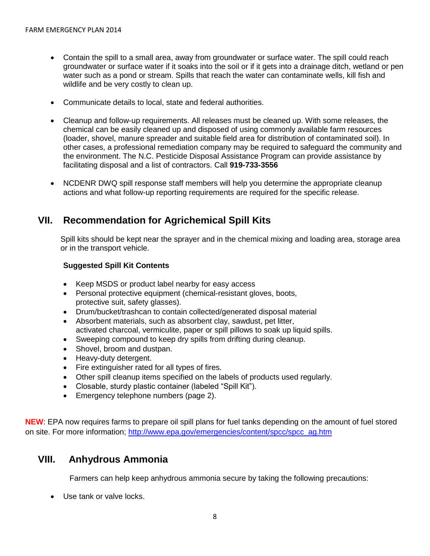- Contain the spill to a small area, away from groundwater or surface water. The spill could reach groundwater or surface water if it soaks into the soil or if it gets into a drainage ditch, wetland or pen water such as a pond or stream. Spills that reach the water can contaminate wells, kill fish and wildlife and be very costly to clean up.
- Communicate details to local, state and federal authorities.
- Cleanup and follow-up requirements. All releases must be cleaned up. With some releases, the chemical can be easily cleaned up and disposed of using commonly available farm resources (loader, shovel, manure spreader and suitable field area for distribution of contaminated soil). In other cases, a professional remediation company may be required to safeguard the community and the environment. The N.C. Pesticide Disposal Assistance Program can provide assistance by facilitating disposal and a list of contractors. Call **919-733-3556**
- NCDENR DWQ spill response staff members will help you determine the appropriate cleanup actions and what follow-up reporting requirements are required for the specific release.

#### **VII. Recommendation for Agrichemical Spill Kits**

Spill kits should be kept near the sprayer and in the chemical mixing and loading area, storage area or in the transport vehicle.

#### **Suggested Spill Kit Contents**

- Keep MSDS or product label nearby for easy access
- Personal protective equipment (chemical-resistant gloves, boots, protective suit, safety glasses).
- Drum/bucket/trashcan to contain collected/generated disposal material
- Absorbent materials, such as absorbent clay, sawdust, pet litter, activated charcoal, vermiculite, paper or spill pillows to soak up liquid spills.
- Sweeping compound to keep dry spills from drifting during cleanup.
- Shovel, broom and dustpan.
- Heavy-duty detergent.
- Fire extinguisher rated for all types of fires.
- Other spill cleanup items specified on the labels of products used regularly.
- Closable, sturdy plastic container (labeled "Spill Kit").
- **Emergency telephone numbers (page 2).**

**NEW**: EPA now requires farms to prepare oil spill plans for fuel tanks depending on the amount of fuel stored on site. For more information; [http://www.epa.gov/emergencies/content/spcc/spcc\\_ag.htm](http://www.epa.gov/emergencies/content/spcc/spcc_ag.htm)

#### **VIII. Anhydrous Ammonia**

Farmers can help keep anhydrous ammonia secure by taking the following precautions:

• Use tank or valve locks.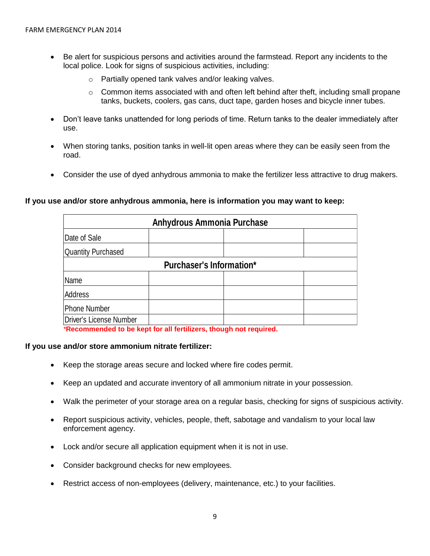- Be alert for suspicious persons and activities around the farmstead. Report any incidents to the local police. Look for signs of suspicious activities, including:
	- o Partially opened tank valves and/or leaking valves.
	- $\circ$  Common items associated with and often left behind after theft, including small propane tanks, buckets, coolers, gas cans, duct tape, garden hoses and bicycle inner tubes.
- Don't leave tanks unattended for long periods of time. Return tanks to the dealer immediately after use.
- When storing tanks, position tanks in well-lit open areas where they can be easily seen from the road.
- Consider the use of dyed anhydrous ammonia to make the fertilizer less attractive to drug makers.

#### **If you use and/or store anhydrous ammonia, here is information you may want to keep:**

| Anhydrous Ammonia Purchase |                                 |  |  |  |
|----------------------------|---------------------------------|--|--|--|
| Date of Sale               |                                 |  |  |  |
| <b>Quantity Purchased</b>  |                                 |  |  |  |
|                            | <b>Purchaser's Information*</b> |  |  |  |
| Name                       |                                 |  |  |  |
| Address                    |                                 |  |  |  |
| Phone Number               |                                 |  |  |  |
| Driver's License Number    |                                 |  |  |  |

*\****Recommended to be kept for all fertilizers, though not required.**

#### **If you use and/or store ammonium nitrate fertilizer:**

- Keep the storage areas secure and locked where fire codes permit.
- Keep an updated and accurate inventory of all ammonium nitrate in your possession.
- Walk the perimeter of your storage area on a regular basis, checking for signs of suspicious activity.
- Report suspicious activity, vehicles, people, theft, sabotage and vandalism to your local law enforcement agency.
- Lock and/or secure all application equipment when it is not in use.
- Consider background checks for new employees.
- Restrict access of non-employees (delivery, maintenance, etc.) to your facilities.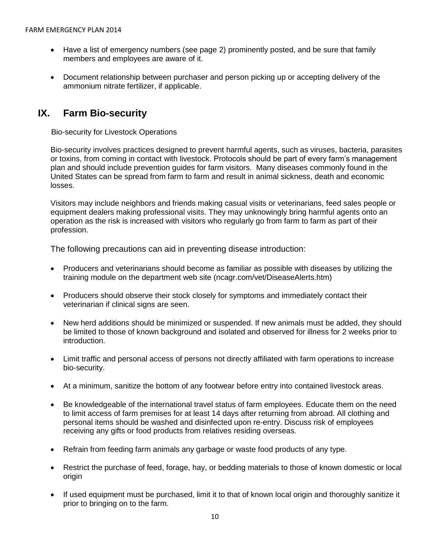- Have a list of emergency numbers (see page 2) prominently posted, and be sure that family members and employees are aware of it.
- Document relationship between purchaser and person picking up or accepting delivery of the ammonium nitrate fertilizer, if applicable.

### **IX. Farm Bio-security**

Bio-security for Livestock Operations

Bio-security involves practices designed to prevent harmful agents, such as viruses, bacteria, parasites or toxins, from coming in contact with livestock. Protocols should be part of every farm's management plan and should include prevention guides for farm visitors. Many diseases commonly found in the United States can be spread from farm to farm and result in animal sickness, death and economic losses.

Visitors may include neighbors and friends making casual visits or veterinarians, feed sales people or equipment dealers making professional visits. They may unknowingly bring harmful agents onto an operation as the risk is increased with visitors who regularly go from farm to farm as part of their profession.

The following precautions can aid in preventing disease introduction:

- Producers and veterinarians should become as familiar as possible with diseases by utilizing the training module on the department web site (ncagr.com/vet/DiseaseAlerts.htm)
- Producers should observe their stock closely for symptoms and immediately contact their veterinarian if clinical signs are seen.
- New herd additions should be minimized or suspended. If new animals must be added, they should be limited to those of known background and isolated and observed for illness for 2 weeks prior to introduction.
- Limit traffic and personal access of persons not directly affiliated with farm operations to increase bio-security.
- At a minimum, sanitize the bottom of any footwear before entry into contained livestock areas.
- Be knowledgeable of the international travel status of farm employees. Educate them on the need to limit access of farm premises for at least 14 days after returning from abroad. All clothing and personal items should be washed and disinfected upon re-entry. Discuss risk of employees receiving any gifts or food products from relatives residing overseas.
- Refrain from feeding farm animals any garbage or waste food products of any type.
- Restrict the purchase of feed, forage, hay, or bedding materials to those of known domestic or local origin
- If used equipment must be purchased, limit it to that of known local origin and thoroughly sanitize it prior to bringing on to the farm.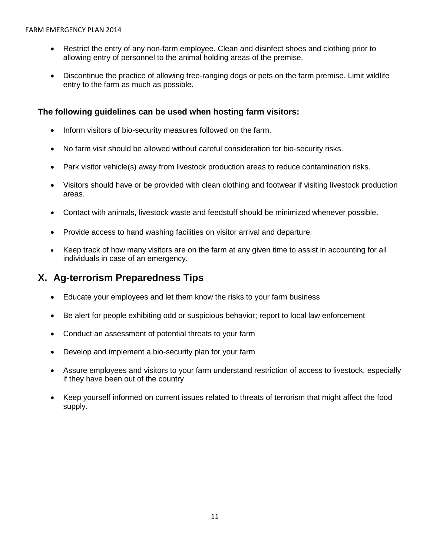- Restrict the entry of any non-farm employee. Clean and disinfect shoes and clothing prior to allowing entry of personnel to the animal holding areas of the premise.
- Discontinue the practice of allowing free-ranging dogs or pets on the farm premise. Limit wildlife entry to the farm as much as possible.

#### **The following guidelines can be used when hosting farm visitors:**

- Inform visitors of bio-security measures followed on the farm.
- No farm visit should be allowed without careful consideration for bio-security risks.
- Park visitor vehicle(s) away from livestock production areas to reduce contamination risks.
- Visitors should have or be provided with clean clothing and footwear if visiting livestock production areas.
- Contact with animals, livestock waste and feedstuff should be minimized whenever possible.
- Provide access to hand washing facilities on visitor arrival and departure.
- Keep track of how many visitors are on the farm at any given time to assist in accounting for all individuals in case of an emergency.

#### **X. Ag-terrorism Preparedness Tips**

- Educate your employees and let them know the risks to your farm business
- Be alert for people exhibiting odd or suspicious behavior; report to local law enforcement
- Conduct an assessment of potential threats to your farm
- Develop and implement a bio-security plan for your farm
- Assure employees and visitors to your farm understand restriction of access to livestock, especially if they have been out of the country
- Keep yourself informed on current issues related to threats of terrorism that might affect the food supply.